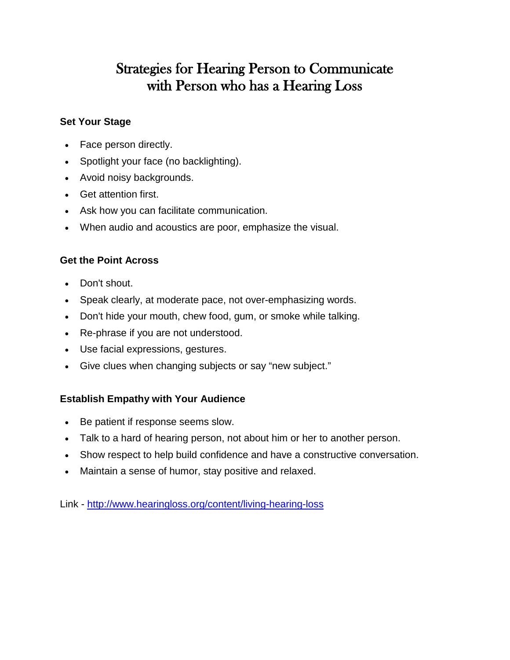# Strategies for Hearing Person to Communicate with Person who has a Hearing Loss

#### **Set Your Stage**

- Face person directly.
- Spotlight your face (no backlighting).
- Avoid noisy backgrounds.
- Get attention first.
- Ask how you can facilitate communication.
- When audio and acoustics are poor, emphasize the visual.

### **Get the Point Across**

- Don't shout.
- Speak clearly, at moderate pace, not over-emphasizing words.
- Don't hide your mouth, chew food, gum, or smoke while talking.
- Re-phrase if you are not understood.
- Use facial expressions, gestures.
- Give clues when changing subjects or say "new subject."

### **Establish Empathy with Your Audience**

- Be patient if response seems slow.
- Talk to a hard of hearing person, not about him or her to another person.
- Show respect to help build confidence and have a constructive conversation.
- Maintain a sense of humor, stay positive and relaxed.

Link - <http://www.hearingloss.org/content/living-hearing-loss>